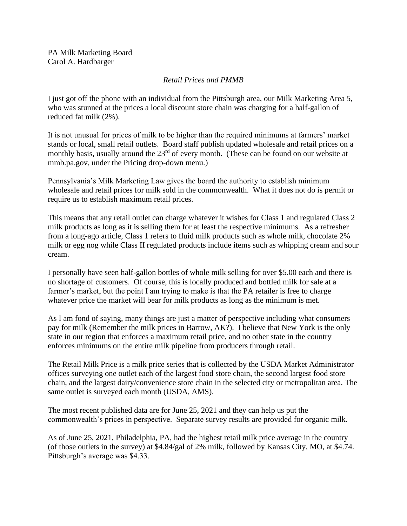PA Milk Marketing Board Carol A. Hardbarger

## *Retail Prices and PMMB*

I just got off the phone with an individual from the Pittsburgh area, our Milk Marketing Area 5, who was stunned at the prices a local discount store chain was charging for a half-gallon of reduced fat milk (2%).

It is not unusual for prices of milk to be higher than the required minimums at farmers' market stands or local, small retail outlets. Board staff publish updated wholesale and retail prices on a monthly basis, usually around the  $23<sup>rd</sup>$  of every month. (These can be found on our website at mmb.pa.gov, under the Pricing drop-down menu.)

Pennsylvania's Milk Marketing Law gives the board the authority to establish minimum wholesale and retail prices for milk sold in the commonwealth. What it does not do is permit or require us to establish maximum retail prices.

This means that any retail outlet can charge whatever it wishes for Class 1 and regulated Class 2 milk products as long as it is selling them for at least the respective minimums. As a refresher from a long-ago article, Class 1 refers to fluid milk products such as whole milk, chocolate 2% milk or egg nog while Class II regulated products include items such as whipping cream and sour cream.

I personally have seen half-gallon bottles of whole milk selling for over \$5.00 each and there is no shortage of customers. Of course, this is locally produced and bottled milk for sale at a farmer's market, but the point I am trying to make is that the PA retailer is free to charge whatever price the market will bear for milk products as long as the minimum is met.

As I am fond of saying, many things are just a matter of perspective including what consumers pay for milk (Remember the milk prices in Barrow, AK?). I believe that New York is the only state in our region that enforces a maximum retail price, and no other state in the country enforces minimums on the entire milk pipeline from producers through retail.

The Retail Milk Price is a milk price series that is collected by the USDA Market Administrator offices surveying one outlet each of the largest food store chain, the second largest food store chain, and the largest dairy/convenience store chain in the selected city or metropolitan area. The same outlet is surveyed each month (USDA, AMS).

The most recent published data are for June 25, 2021 and they can help us put the commonwealth's prices in perspective. Separate survey results are provided for organic milk.

As of June 25, 2021, Philadelphia, PA, had the highest retail milk price average in the country (of those outlets in the survey) at \$4.84/gal of 2% milk, followed by Kansas City, MO, at \$4.74. Pittsburgh's average was \$4.33.